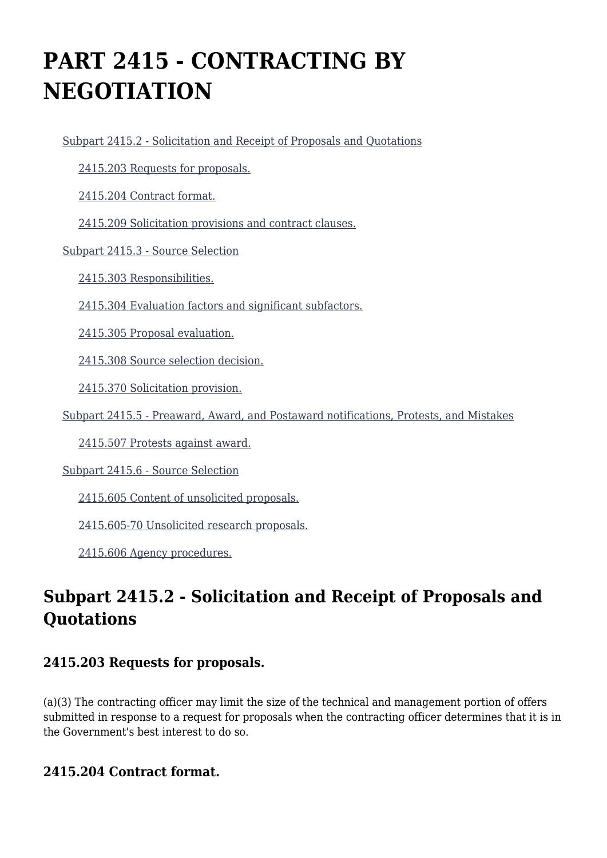# **PART 2415 - CONTRACTING BY NEGOTIATION**

[Subpart 2415.2 - Solicitation and Receipt of Proposals and Quotations](https://origin-www.acquisition.gov/%5Brp:link:hudar-part-2415%5D#Subpart_2415_2_T48_60950141)

[2415.203 Requests for proposals.](https://origin-www.acquisition.gov/%5Brp:link:hudar-part-2415%5D#Section_2415_203_T48_6095014111)

[2415.204 Contract format.](https://origin-www.acquisition.gov/%5Brp:link:hudar-part-2415%5D#Section_2415_204_T48_6095014112)

[2415.209 Solicitation provisions and contract clauses.](https://origin-www.acquisition.gov/%5Brp:link:hudar-part-2415%5D#Section_2415_209_T48_6095014113)

[Subpart 2415.3 - Source Selection](https://origin-www.acquisition.gov/%5Brp:link:hudar-part-2415%5D#Subpart_2415_3_T48_60950142)

[2415.303 Responsibilities.](https://origin-www.acquisition.gov/%5Brp:link:hudar-part-2415%5D#Section_2415_303_T48_6095014211)

[2415.304 Evaluation factors and significant subfactors.](https://origin-www.acquisition.gov/%5Brp:link:hudar-part-2415%5D#Section_2415_304_T48_6095014212)

[2415.305 Proposal evaluation.](https://origin-www.acquisition.gov/%5Brp:link:hudar-part-2415%5D#Section_2415_305_T48_6095014213)

[2415.308 Source selection decision.](https://origin-www.acquisition.gov/%5Brp:link:hudar-part-2415%5D#Section_2415_308_T48_6095014214)

[2415.370 Solicitation provision.](https://origin-www.acquisition.gov/%5Brp:link:hudar-part-2415%5D#Section_2415_370_T48_6095014215)

[Subpart 2415.5 - Preaward, Award, and Postaward notifications, Protests, and Mistakes](https://origin-www.acquisition.gov/%5Brp:link:hudar-part-2415%5D#Subpart_2415_5_T48_60950143)

[2415.507 Protests against award.](https://origin-www.acquisition.gov/%5Brp:link:hudar-part-2415%5D#Section_2415_507_T48_6095014311)

[Subpart 2415.6 - Source Selection](https://origin-www.acquisition.gov/%5Brp:link:hudar-part-2415%5D#Subpart_2415_6_T48_60950144)

[2415.605 Content of unsolicited proposals.](https://origin-www.acquisition.gov/%5Brp:link:hudar-part-2415%5D#Section_2415_605_T48_6095014411)

[2415.605-70 Unsolicited research proposals.](https://origin-www.acquisition.gov/%5Brp:link:hudar-part-2415%5D#Section_2415_605_70_T48_6095014412)

[2415.606 Agency procedures.](https://origin-www.acquisition.gov/%5Brp:link:hudar-part-2415%5D#Section_2415_606_T48_6095014413)

# **Subpart 2415.2 - Solicitation and Receipt of Proposals and Quotations**

#### **2415.203 Requests for proposals.**

(a)(3) The contracting officer may limit the size of the technical and management portion of offers submitted in response to a request for proposals when the contracting officer determines that it is in the Government's best interest to do so.

#### **2415.204 Contract format.**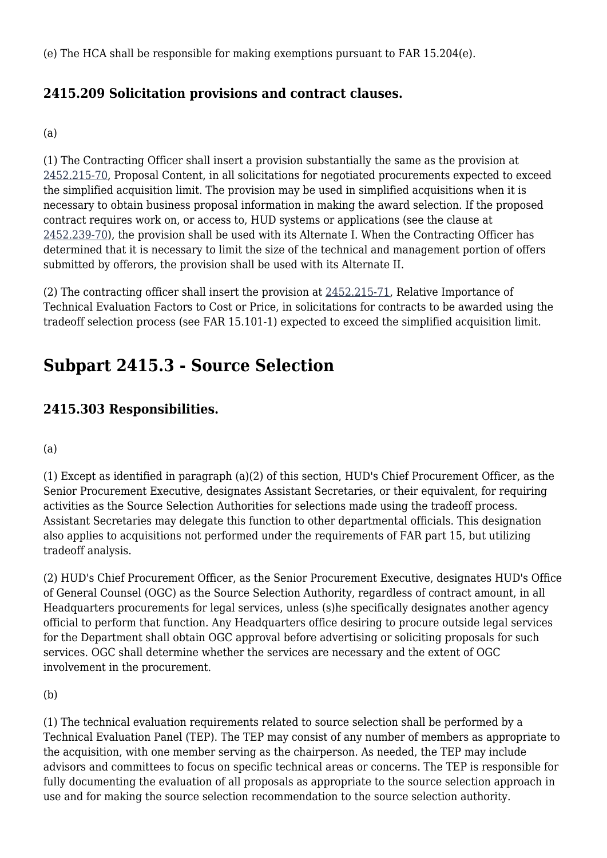(e) The HCA shall be responsible for making exemptions pursuant to FAR 15.204(e).

# **2415.209 Solicitation provisions and contract clauses.**

#### (a)

(1) The Contracting Officer shall insert a provision substantially the same as the provision at [2452.215-70,](https://origin-www.acquisition.gov/%5Brp:link:hudar-part-2452%5D#Section_2452_215_70_T48_6095537117) Proposal Content, in all solicitations for negotiated procurements expected to exceed the simplified acquisition limit. The provision may be used in simplified acquisitions when it is necessary to obtain business proposal information in making the award selection. If the proposed contract requires work on, or access to, HUD systems or applications (see the clause at [2452.239-70\)](https://origin-www.acquisition.gov/%5Brp:link:hudar-part-2452%5D#Section_2452_239_70_T48_60955371144), the provision shall be used with its Alternate I. When the Contracting Officer has determined that it is necessary to limit the size of the technical and management portion of offers submitted by offerors, the provision shall be used with its Alternate II.

(2) The contracting officer shall insert the provision at [2452.215-71,](https://origin-www.acquisition.gov/%5Brp:link:hudar-part-2452%5D#Section_2452_215_71_T48_6095537118) Relative Importance of Technical Evaluation Factors to Cost or Price, in solicitations for contracts to be awarded using the tradeoff selection process (see FAR 15.101-1) expected to exceed the simplified acquisition limit.

# **Subpart 2415.3 - Source Selection**

# **2415.303 Responsibilities.**

#### (a)

(1) Except as identified in paragraph (a)(2) of this section, HUD's Chief Procurement Officer, as the Senior Procurement Executive, designates Assistant Secretaries, or their equivalent, for requiring activities as the Source Selection Authorities for selections made using the tradeoff process. Assistant Secretaries may delegate this function to other departmental officials. This designation also applies to acquisitions not performed under the requirements of FAR part 15, but utilizing tradeoff analysis.

(2) HUD's Chief Procurement Officer, as the Senior Procurement Executive, designates HUD's Office of General Counsel (OGC) as the Source Selection Authority, regardless of contract amount, in all Headquarters procurements for legal services, unless (s)he specifically designates another agency official to perform that function. Any Headquarters office desiring to procure outside legal services for the Department shall obtain OGC approval before advertising or soliciting proposals for such services. OGC shall determine whether the services are necessary and the extent of OGC involvement in the procurement.

#### (b)

(1) The technical evaluation requirements related to source selection shall be performed by a Technical Evaluation Panel (TEP). The TEP may consist of any number of members as appropriate to the acquisition, with one member serving as the chairperson. As needed, the TEP may include advisors and committees to focus on specific technical areas or concerns. The TEP is responsible for fully documenting the evaluation of all proposals as appropriate to the source selection approach in use and for making the source selection recommendation to the source selection authority.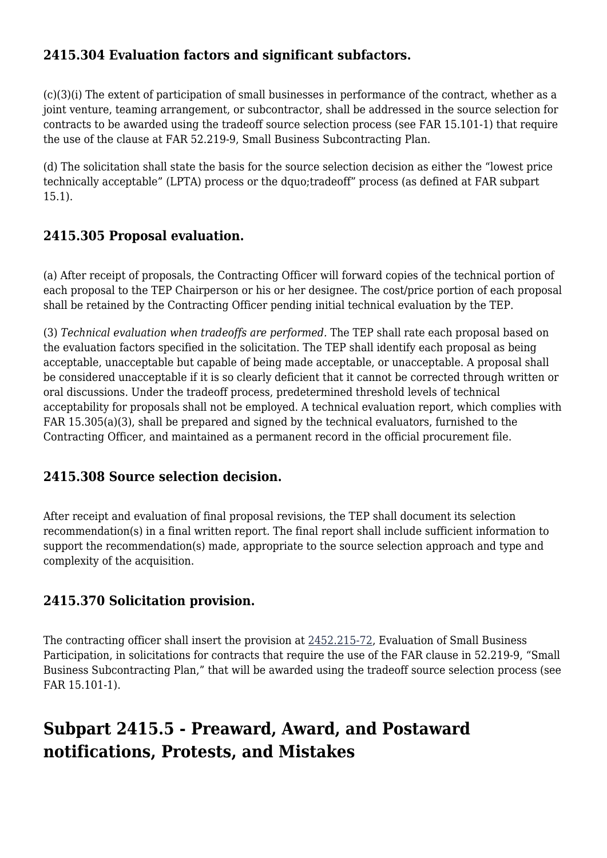## **2415.304 Evaluation factors and significant subfactors.**

(c)(3)(i) The extent of participation of small businesses in performance of the contract, whether as a joint venture, teaming arrangement, or subcontractor, shall be addressed in the source selection for contracts to be awarded using the tradeoff source selection process (see FAR 15.101-1) that require the use of the clause at FAR 52.219-9, Small Business Subcontracting Plan.

(d) The solicitation shall state the basis for the source selection decision as either the "lowest price technically acceptable" (LPTA) process or the dquo;tradeoff" process (as defined at FAR subpart 15.1).

## **2415.305 Proposal evaluation.**

(a) After receipt of proposals, the Contracting Officer will forward copies of the technical portion of each proposal to the TEP Chairperson or his or her designee. The cost/price portion of each proposal shall be retained by the Contracting Officer pending initial technical evaluation by the TEP.

(3) *Technical evaluation when tradeoffs are performed.* The TEP shall rate each proposal based on the evaluation factors specified in the solicitation. The TEP shall identify each proposal as being acceptable, unacceptable but capable of being made acceptable, or unacceptable. A proposal shall be considered unacceptable if it is so clearly deficient that it cannot be corrected through written or oral discussions. Under the tradeoff process, predetermined threshold levels of technical acceptability for proposals shall not be employed. A technical evaluation report, which complies with FAR 15.305(a)(3), shall be prepared and signed by the technical evaluators, furnished to the Contracting Officer, and maintained as a permanent record in the official procurement file.

## **2415.308 Source selection decision.**

After receipt and evaluation of final proposal revisions, the TEP shall document its selection recommendation(s) in a final written report. The final report shall include sufficient information to support the recommendation(s) made, appropriate to the source selection approach and type and complexity of the acquisition.

## **2415.370 Solicitation provision.**

The contracting officer shall insert the provision at [2452.215-72](https://origin-www.acquisition.gov/%5Brp:link:hudar-part-2452%5D#Section_2452_215_72_T48_6095537119), Evaluation of Small Business Participation, in solicitations for contracts that require the use of the FAR clause in 52.219-9, "Small Business Subcontracting Plan," that will be awarded using the tradeoff source selection process (see FAR 15.101-1).

# **Subpart 2415.5 - Preaward, Award, and Postaward notifications, Protests, and Mistakes**